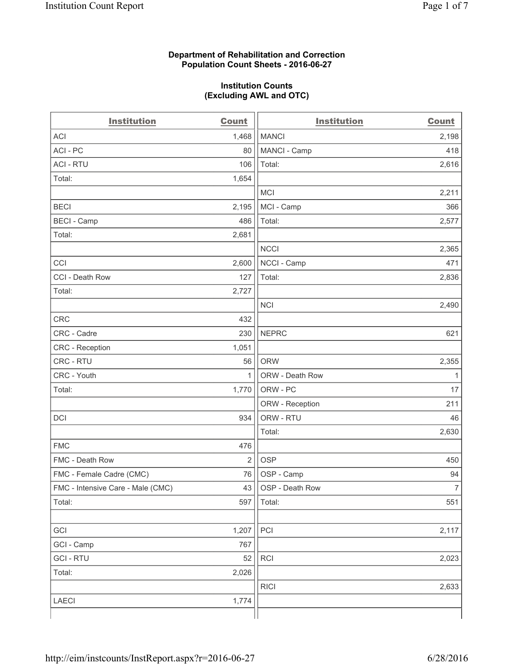### **Department of Rehabilitation and Correction Population Count Sheets - 2016-06-27**

### **Institution Counts (Excluding AWL and OTC)**

| <b>Institution</b>                | <b>Count</b>   | <b>Institution</b> | <b>Count</b>   |
|-----------------------------------|----------------|--------------------|----------------|
| <b>ACI</b>                        | 1,468          | <b>MANCI</b>       | 2,198          |
| ACI-PC                            | 80             | MANCI - Camp       | 418            |
| <b>ACI - RTU</b>                  | 106            | Total:             | 2,616          |
| Total:                            | 1,654          |                    |                |
|                                   |                | <b>MCI</b>         | 2,211          |
| <b>BECI</b>                       | 2,195          | MCI - Camp         | 366            |
| <b>BECI - Camp</b>                | 486            | Total:             | 2,577          |
| Total:                            | 2,681          |                    |                |
|                                   |                | <b>NCCI</b>        | 2,365          |
| CCI                               | 2,600          | NCCI - Camp        | 471            |
| CCI - Death Row                   | 127            | Total:             | 2,836          |
| Total:                            | 2,727          |                    |                |
|                                   |                | <b>NCI</b>         | 2,490          |
| <b>CRC</b>                        | 432            |                    |                |
| CRC - Cadre                       | 230            | <b>NEPRC</b>       | 621            |
| CRC - Reception                   | 1,051          |                    |                |
| CRC - RTU                         | 56             | <b>ORW</b>         | 2,355          |
| CRC - Youth                       | 1              | ORW - Death Row    | $\mathbf{1}$   |
| Total:                            | 1,770          | ORW - PC           | 17             |
|                                   |                | ORW - Reception    | 211            |
| DCI                               | 934            | ORW - RTU          | 46             |
|                                   |                | Total:             | 2,630          |
| <b>FMC</b>                        | 476            |                    |                |
| FMC - Death Row                   | $\overline{2}$ | <b>OSP</b>         | 450            |
| FMC - Female Cadre (CMC)          | 76             | OSP - Camp         | 94             |
| FMC - Intensive Care - Male (CMC) | 43             | OSP - Death Row    | $\overline{7}$ |
| Total:                            | 597            | Total:             | 551            |
|                                   |                |                    |                |
| GCI                               | 1,207          | PCI                | 2,117          |
| GCI - Camp                        | 767            |                    |                |
| <b>GCI-RTU</b>                    | 52             | RCI                | 2,023          |
| Total:                            | 2,026          |                    |                |
|                                   |                | <b>RICI</b>        | 2,633          |
| <b>LAECI</b>                      | 1,774          |                    |                |
|                                   |                |                    |                |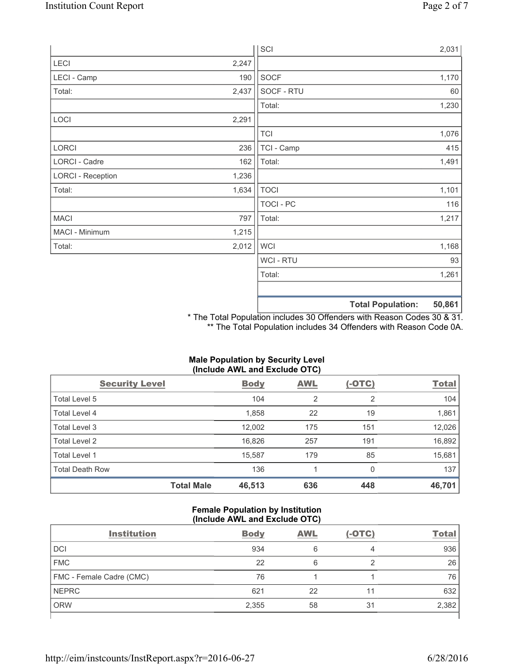|                          |       | SCI            |                          | 2,031  |
|--------------------------|-------|----------------|--------------------------|--------|
| LECI                     | 2,247 |                |                          |        |
| LECI - Camp              | 190   | SOCF           |                          | 1,170  |
| Total:                   | 2,437 | SOCF - RTU     |                          | 60     |
|                          |       | Total:         |                          | 1,230  |
| LOCI                     | 2,291 |                |                          |        |
|                          |       | <b>TCI</b>     |                          | 1,076  |
| LORCI                    | 236   | TCI - Camp     |                          | 415    |
| LORCI - Cadre            | 162   | Total:         |                          | 1,491  |
| <b>LORCI - Reception</b> | 1,236 |                |                          |        |
| Total:                   | 1,634 | <b>TOCI</b>    |                          | 1,101  |
|                          |       | TOCI - PC      |                          | 116    |
| <b>MACI</b>              | 797   | Total:         |                          | 1,217  |
| MACI - Minimum           | 1,215 |                |                          |        |
| Total:                   | 2,012 | <b>WCI</b>     |                          | 1,168  |
|                          |       | <b>WCI-RTU</b> |                          | 93     |
|                          |       | Total:         |                          | 1,261  |
|                          |       |                | <b>Total Population:</b> | 50,861 |

\* The Total Population includes 30 Offenders with Reason Codes 30 & 31. \*\* The Total Population includes 34 Offenders with Reason Code 0A.

# **Male Population by Security Level (Include AWL and Exclude OTC)**

| <b>Security Level</b>  |                   | <b>Body</b> | AWL            | $(-OTC)$       | <b>Total</b> |
|------------------------|-------------------|-------------|----------------|----------------|--------------|
| Total Level 5          |                   | 104         | $\overline{2}$ | $\overline{2}$ | 104          |
| Total Level 4          |                   | 1,858       | 22             | 19             | 1,861        |
| Total Level 3          |                   | 12,002      | 175            | 151            | 12,026       |
| Total Level 2          |                   | 16,826      | 257            | 191            | 16,892       |
| Total Level 1          |                   | 15,587      | 179            | 85             | 15,681       |
| <b>Total Death Row</b> |                   | 136         |                | 0              | 137          |
|                        | <b>Total Male</b> | 46,513      | 636            | 448            | 46,701       |

### **Female Population by Institution (Include AWL and Exclude OTC)**

| <b>Institution</b>       | <b>Body</b> | <b>AWL</b> | $(-OTC)$ | <b>Total</b> |
|--------------------------|-------------|------------|----------|--------------|
| <b>DCI</b>               | 934         | 6          | 4        | 936          |
| <b>FMC</b>               | 22          | 6          |          | 26           |
| FMC - Female Cadre (CMC) | 76          |            |          | 76           |
| <b>NEPRC</b>             | 621         | 22         | 11       | 632          |
| <b>ORW</b>               | 2,355       | 58         | 31       | 2,382        |
|                          |             |            |          |              |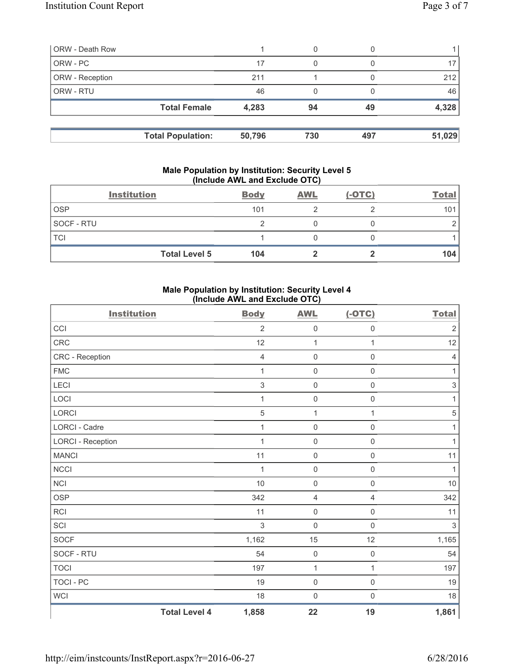| <b>ORW - Death Row</b> |                          |        | 0   |     |        |
|------------------------|--------------------------|--------|-----|-----|--------|
| ORW - PC               |                          | 17     | 0   |     |        |
| ORW - Reception        |                          | 211    |     |     | 212    |
| <b>ORW - RTU</b>       |                          | 46     |     |     | 46     |
|                        | <b>Total Female</b>      | 4,283  | 94  | 49  | 4,328  |
|                        | <b>Total Population:</b> | 50,796 | 730 | 497 | 51,029 |

### **Male Population by Institution: Security Level 5 (Include AWL and Exclude OTC)**

|                   | <b>Institution</b>   | <b>Body</b> | <b>AWL</b> | $(-OTC)$ | <b>Total</b> |
|-------------------|----------------------|-------------|------------|----------|--------------|
| <b>OSP</b>        |                      | 101         |            |          | 101          |
| <b>SOCF - RTU</b> |                      |             |            |          |              |
| <b>TCI</b>        |                      |             |            |          |              |
|                   | <b>Total Level 5</b> | 104         |            |          | 104          |

# **Male Population by Institution: Security Level 4 (Include AWL and Exclude OTC)**

| <b>Institution</b>       |                      | <b>Body</b>    | <b>AWL</b>          | $(-OTC)$            | <b>Total</b>              |
|--------------------------|----------------------|----------------|---------------------|---------------------|---------------------------|
| CCI                      |                      | $\overline{2}$ | $\mathsf{O}\xspace$ | $\mathbf 0$         | $\sqrt{2}$                |
| CRC                      |                      | 12             | $\mathbf{1}$        | 1                   | 12                        |
| CRC - Reception          |                      | $\overline{4}$ | $\mathsf{O}\xspace$ | $\mathsf{O}\xspace$ | $\overline{4}$            |
| <b>FMC</b>               |                      | 1              | $\mathsf{O}\xspace$ | $\mathsf 0$         | 1                         |
| LECI                     |                      | $\mathsf 3$    | $\mathsf{O}\xspace$ | $\mathsf 0$         | $\ensuremath{\mathsf{3}}$ |
| LOCI                     |                      | $\mathbf{1}$   | $\mathsf{O}\xspace$ | $\mathbf 0$         | $\mathbf{1}$              |
| LORCI                    |                      | $\sqrt{5}$     | $\mathbf{1}$        | 1                   | $\,$ 5 $\,$               |
| LORCI - Cadre            |                      | $\mathbf 1$    | $\mathsf{O}\xspace$ | $\mathsf{O}\xspace$ | $\mathbf{1}$              |
| <b>LORCI - Reception</b> |                      | $\mathbf{1}$   | $\mathsf{O}\xspace$ | $\mathbf 0$         | $\mathbf{1}$              |
| <b>MANCI</b>             |                      | 11             | $\mathsf{O}\xspace$ | $\mathsf 0$         | 11                        |
| <b>NCCI</b>              |                      | $\mathbf 1$    | $\mathsf{O}\xspace$ | $\mathsf 0$         | 1                         |
| <b>NCI</b>               |                      | 10             | $\mathsf{O}\xspace$ | $\mathsf{O}\xspace$ | 10                        |
| <b>OSP</b>               |                      | 342            | 4                   | $\overline{4}$      | 342                       |
| <b>RCI</b>               |                      | 11             | $\mathsf{O}\xspace$ | $\mathsf{O}\xspace$ | 11                        |
| SCI                      |                      | $\mathfrak{S}$ | $\mathsf{O}\xspace$ | $\mathsf{O}\xspace$ | $\mathfrak{Z}$            |
| SOCF                     |                      | 1,162          | 15                  | 12                  | 1,165                     |
| SOCF - RTU               |                      | 54             | $\mathsf{O}\xspace$ | $\mathbf 0$         | 54                        |
| <b>TOCI</b>              |                      | 197            | $\mathbf{1}$        | $\mathbf{1}$        | 197                       |
| <b>TOCI - PC</b>         |                      | 19             | $\mathsf{O}\xspace$ | $\mathsf{O}\xspace$ | 19                        |
| WCI                      |                      | 18             | $\mathbf 0$         | $\mathbf 0$         | 18                        |
|                          | <b>Total Level 4</b> | 1,858          | 22                  | 19                  | 1,861                     |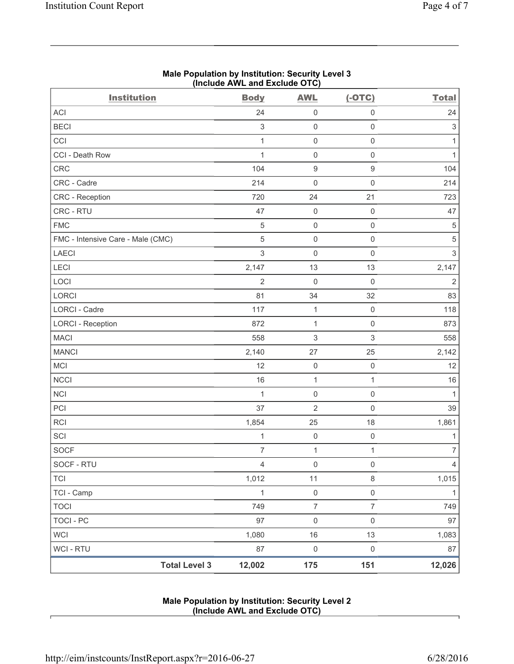| <b>Institution</b>                | (include AWL and Exclude OTC) |                          | $(-OTC)$            | <b>Total</b>   |
|-----------------------------------|-------------------------------|--------------------------|---------------------|----------------|
|                                   | <b>Body</b>                   | <b>AWL</b>               |                     |                |
| ACI                               | 24                            | $\mathbf 0$              | $\mathsf{O}\xspace$ | 24             |
| <b>BECI</b>                       | $\mathsf 3$                   | $\mathbf 0$              | $\mathsf{O}\xspace$ | $\,$ 3 $\,$    |
| CCI                               | $\mathbf{1}$                  | $\mathsf{O}\xspace$      | $\mathsf{O}\xspace$ | 1              |
| CCI - Death Row                   | $\mathbf{1}$                  | $\mathsf{O}\xspace$      | $\mathsf 0$         | $\mathbf{1}$   |
| CRC                               | 104                           | $\boldsymbol{9}$         | $\boldsymbol{9}$    | 104            |
| CRC - Cadre                       | 214                           | $\mathsf{O}\xspace$      | $\mathsf{O}\xspace$ | 214            |
| CRC - Reception                   | 720                           | 24                       | 21                  | 723            |
| CRC - RTU                         | 47                            | $\mathsf{O}\xspace$      | $\boldsymbol{0}$    | 47             |
| <b>FMC</b>                        | $\sqrt{5}$                    | $\mathsf{O}\xspace$      | $\mathsf 0$         | 5              |
| FMC - Intensive Care - Male (CMC) | 5                             | $\mathsf{O}\xspace$      | $\mathsf{O}\xspace$ | $\,$ 5 $\,$    |
| LAECI                             | 3                             | $\mathbf 0$              | $\mathsf{O}\xspace$ | 3              |
| LECI                              | 2,147                         | 13                       | 13                  | 2,147          |
| LOCI                              | $\overline{2}$                | $\mathbf 0$              | $\boldsymbol{0}$    | $\overline{2}$ |
| LORCI                             | 81                            | 34                       | 32                  | 83             |
| LORCI - Cadre                     | 117                           | $\mathbf 1$              | $\boldsymbol{0}$    | 118            |
| <b>LORCI - Reception</b>          | 872                           | 1                        | $\mathsf{O}\xspace$ | 873            |
| <b>MACI</b>                       | 558                           | 3                        | $\,$ 3 $\,$         | 558            |
| <b>MANCI</b>                      | 2,140                         | 27                       | 25                  | 2,142          |
| MCI                               | 12                            | $\mathsf{O}\xspace$      | $\mathsf{O}\xspace$ | 12             |
| <b>NCCI</b>                       | 16                            | $\mathbf 1$              | $\mathbf{1}$        | 16             |
| <b>NCI</b>                        | $\mathbf 1$                   | $\mathsf{O}\xspace$      | $\mathsf{O}\xspace$ | $\mathbf{1}$   |
| PCI                               | 37                            | $\overline{2}$           | $\mathsf{O}\xspace$ | 39             |
| RCI                               | 1,854                         | 25                       | 18                  | 1,861          |
| SCI                               | $\mathbf 1$                   | $\mathsf{O}\xspace$      | $\mathsf{O}\xspace$ | 1              |
| SOCF                              | $\overline{7}$                | 1                        | $\mathbf{1}$        | $\overline{7}$ |
| SOCF - RTU                        | $\overline{4}$                | $\mathsf{O}\xspace$      | $\mathsf{O}\xspace$ | $\overline{4}$ |
| <b>TCI</b>                        | 1,012                         | 11                       | $\,8\,$             | 1,015          |
| TCI - Camp                        | $\mathbf{1}$                  | $\mathbf 0$              | $\mathsf{O}\xspace$ | $\mathbf{1}$   |
| <b>TOCI</b>                       | 749                           | $\overline{\mathcal{I}}$ | $\overline{7}$      | 749            |
| <b>TOCI - PC</b>                  | 97                            | $\mathsf{O}\xspace$      | $\mathsf{O}\xspace$ | 97             |
| <b>WCI</b>                        | 1,080                         | 16                       | 13                  | 1,083          |
| WCI - RTU                         | 87                            | $\mathsf{O}\xspace$      | $\mathsf 0$         | 87             |
| <b>Total Level 3</b>              | 12,002                        | 175                      | 151                 | 12,026         |

## **Male Population by Institution: Security Level 3 (Include AWL and Exclude OTC)**

# **Male Population by Institution: Security Level 2 (Include AWL and Exclude OTC)**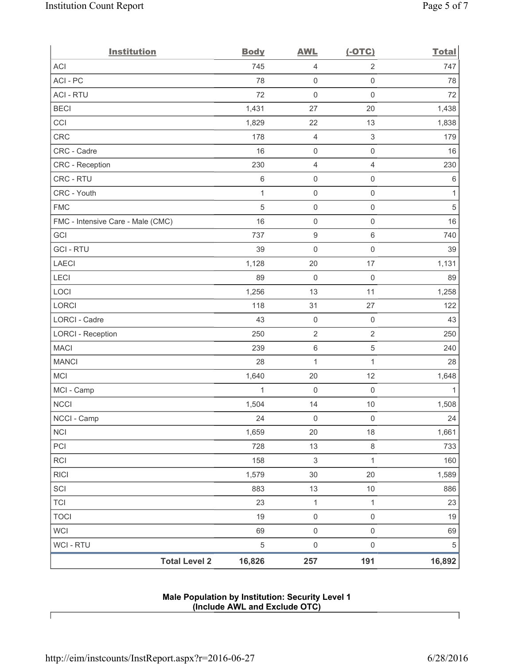| <b>Institution</b>                | <b>Body</b>  | <b>AWL</b>              | $(-OTC)$            | <b>Total</b> |
|-----------------------------------|--------------|-------------------------|---------------------|--------------|
| <b>ACI</b>                        | 745          | $\overline{4}$          | $\overline{2}$      | 747          |
| ACI-PC                            | 78           | $\mathsf{O}\xspace$     | $\mathsf 0$         | 78           |
| <b>ACI - RTU</b>                  | 72           | 0                       | $\mathsf 0$         | 72           |
| <b>BECI</b>                       | 1,431        | 27                      | 20                  | 1,438        |
| CCI                               | 1,829        | 22                      | 13                  | 1,838        |
| CRC                               | 178          | 4                       | $\sqrt{3}$          | 179          |
| CRC - Cadre                       | 16           | $\mathsf{O}\xspace$     | $\mathsf 0$         | 16           |
| CRC - Reception                   | 230          | $\overline{\mathbf{4}}$ | $\overline{4}$      | 230          |
| CRC - RTU                         | $\,6\,$      | $\mathsf{O}\xspace$     | $\mathsf 0$         | $\,6\,$      |
| CRC - Youth                       | $\mathbf{1}$ | $\mathsf{O}\xspace$     | $\mathsf 0$         | $\mathbf{1}$ |
| <b>FMC</b>                        | $\sqrt{5}$   | $\mathsf{O}\xspace$     | $\mathsf 0$         | $\sqrt{5}$   |
| FMC - Intensive Care - Male (CMC) | 16           | $\mathsf{O}\xspace$     | $\mathsf 0$         | 16           |
| GCI                               | 737          | $\boldsymbol{9}$        | $\,6\,$             | 740          |
| <b>GCI-RTU</b>                    | 39           | $\mathsf{O}\xspace$     | $\mathsf 0$         | 39           |
| <b>LAECI</b>                      | 1,128        | 20                      | 17                  | 1,131        |
| LECI                              | 89           | $\mathbf 0$             | $\mathsf 0$         | 89           |
| LOCI                              | 1,256        | 13                      | 11                  | 1,258        |
| <b>LORCI</b>                      | 118          | 31                      | 27                  | 122          |
| LORCI - Cadre                     | 43           | $\mathbf 0$             | $\mathsf 0$         | 43           |
| <b>LORCI - Reception</b>          | 250          | $\sqrt{2}$              | $\sqrt{2}$          | 250          |
| <b>MACI</b>                       | 239          | $\,6\,$                 | 5                   | 240          |
| <b>MANCI</b>                      | 28           | $\mathbf 1$             | 1                   | 28           |
| <b>MCI</b>                        | 1,640        | 20                      | 12                  | 1,648        |
| MCI - Camp                        | 1            | 0                       | $\mathsf 0$         | 1            |
| <b>NCCI</b>                       | 1,504        | 14                      | $10$                | 1,508        |
| NCCI - Camp                       | 24           | $\mathsf{O}\xspace$     | $\mathsf 0$         | 24           |
| <b>NCI</b>                        | 1,659        | 20                      | 18                  | 1,661        |
| PCI                               | 728          | 13                      | $\,8\,$             | 733          |
| RCI                               | 158          | $\,$ 3 $\,$             | $\mathbf{1}$        | 160          |
| <b>RICI</b>                       | 1,579        | $30\,$                  | $20\,$              | 1,589        |
| SCI                               | 883          | 13                      | $10$                | 886          |
| <b>TCI</b>                        | 23           | $\mathbf 1$             | $\mathbf{1}$        | 23           |
| <b>TOCI</b>                       | 19           | $\mathsf{O}\xspace$     | $\mathsf{O}\xspace$ | 19           |
| WCI                               | 69           | $\mathsf{O}\xspace$     | $\mathsf 0$         | 69           |
| WCI - RTU                         | $\sqrt{5}$   | $\mathbf 0$             | $\mathsf 0$         | $\,$ 5 $\,$  |
| <b>Total Level 2</b>              | 16,826       | 257                     | 191                 | 16,892       |

## **Male Population by Institution: Security Level 1 (Include AWL and Exclude OTC)**

 $\lceil$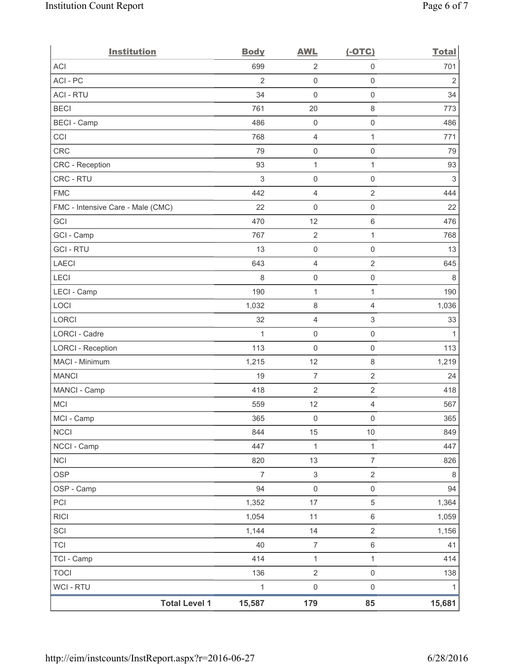| <b>Institution</b>                | <b>Body</b>    | <b>AWL</b>          | $(-OTC)$            | <b>Total</b>   |
|-----------------------------------|----------------|---------------------|---------------------|----------------|
| <b>ACI</b>                        | 699            | $\overline{2}$      | $\mathsf 0$         | 701            |
| ACI-PC                            | $\overline{2}$ | $\mathbf 0$         | $\mathsf{O}\xspace$ | $\overline{2}$ |
| <b>ACI - RTU</b>                  | 34             | 0                   | $\mathsf 0$         | 34             |
| <b>BECI</b>                       | 761            | 20                  | $\,8\,$             | 773            |
| <b>BECI - Camp</b>                | 486            | $\mathsf{O}\xspace$ | $\mathsf{O}\xspace$ | 486            |
| CCI                               | 768            | $\overline{4}$      | $\mathbf{1}$        | 771            |
| <b>CRC</b>                        | 79             | $\mathsf{O}\xspace$ | $\mathsf{O}\xspace$ | 79             |
| CRC - Reception                   | 93             | $\mathbf 1$         | $\mathbf{1}$        | 93             |
| CRC - RTU                         | $\,$ 3 $\,$    | $\mathsf{O}\xspace$ | $\mathsf{O}\xspace$ | $\sqrt{3}$     |
| <b>FMC</b>                        | 442            | 4                   | $\sqrt{2}$          | 444            |
| FMC - Intensive Care - Male (CMC) | 22             | $\mathsf{O}\xspace$ | $\mathsf 0$         | 22             |
| GCI                               | 470            | 12                  | $\,6\,$             | 476            |
| GCI - Camp                        | 767            | $\sqrt{2}$          | $\mathbf{1}$        | 768            |
| <b>GCI-RTU</b>                    | 13             | $\mathsf{O}\xspace$ | $\mathsf{O}\xspace$ | 13             |
| <b>LAECI</b>                      | 643            | 4                   | $\sqrt{2}$          | 645            |
| LECI                              | 8              | $\mathsf{O}\xspace$ | $\mathsf 0$         | 8              |
| LECI - Camp                       | 190            | $\mathbf{1}$        | 1                   | 190            |
| LOCI                              | 1,032          | 8                   | $\overline{4}$      | 1,036          |
| LORCI                             | 32             | 4                   | 3                   | 33             |
| LORCI - Cadre                     | 1              | $\mathsf{O}\xspace$ | $\mathsf{O}\xspace$ | 1              |
| <b>LORCI - Reception</b>          | 113            | $\mathsf{O}\xspace$ | $\mathsf 0$         | 113            |
| MACI - Minimum                    | 1,215          | 12                  | $\,8\,$             | 1,219          |
| <b>MANCI</b>                      | 19             | $\overline{7}$      | $\sqrt{2}$          | 24             |
| MANCI - Camp                      | 418            | $\sqrt{2}$          | $\overline{c}$      | 418            |
| <b>MCI</b>                        | 559            | 12                  | 4                   | 567            |
| MCI - Camp                        | 365            | $\mathbf 0$         | $\mathsf{O}\xspace$ | 365            |
| <b>NCCI</b>                       | 844            | 15                  | $10$                | 849            |
| NCCI - Camp                       | 447            | $\mathbf 1$         | $\mathbf{1}$        | 447            |
| <b>NCI</b>                        | 820            | 13                  | $\overline{7}$      | 826            |
| <b>OSP</b>                        | $\overline{7}$ | $\mathsf 3$         | $\overline{2}$      | $\,8\,$        |
| OSP - Camp                        | 94             | $\mathsf 0$         | $\mathsf{O}\xspace$ | 94             |
| PCI                               | 1,352          | 17                  | 5                   | 1,364          |
| <b>RICI</b>                       | 1,054          | 11                  | $\,6\,$             | 1,059          |
| SCI                               | 1,144          | 14                  | $\overline{2}$      | 1,156          |
| <b>TCI</b>                        | 40             | $\overline{7}$      | $\,6\,$             | 41             |
| TCI - Camp                        | 414            | $\mathbf{1}$        | $\mathbf{1}$        | 414            |
| <b>TOCI</b>                       | 136            | $\overline{2}$      | $\mathsf 0$         | 138            |
| WCI - RTU                         | $\mathbf{1}$   | $\mathsf{O}\xspace$ | $\mathsf{O}\xspace$ | $\mathbf{1}$   |
| <b>Total Level 1</b>              | 15,587         | 179                 | 85                  | 15,681         |